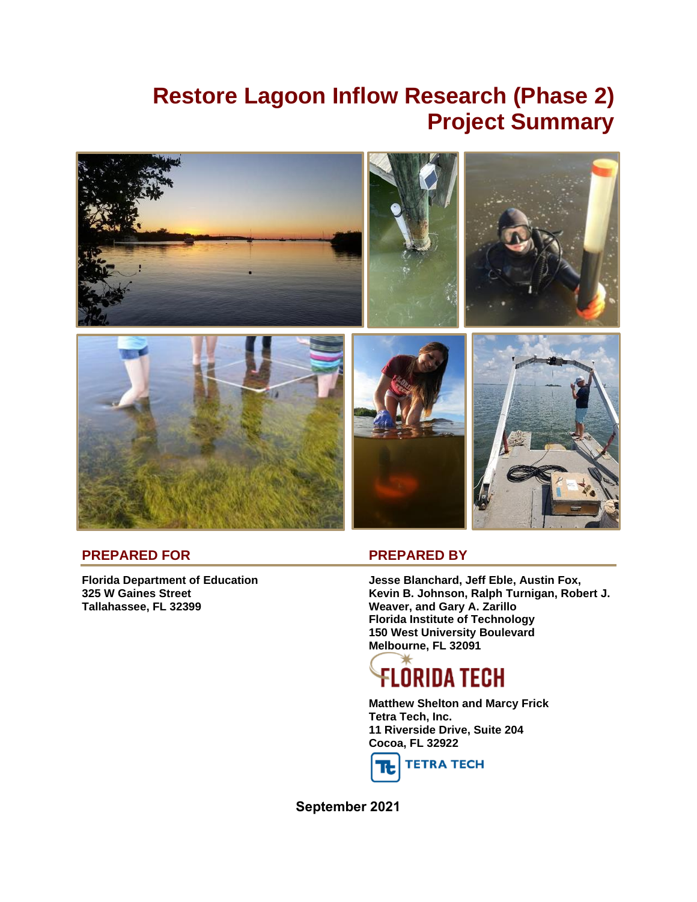# **Restore Lagoon Inflow Research (Phase 2) Project Summary**



#### **PREPARED FOR PREPARED BY**

**Tallahassee, FL 32399 Weaver, and Gary A. Zarillo**

**Florida Department of Education Jesse Blanchard, Jeff Eble, Austin Fox, 325 W Gaines Street Kevin B. Johnson, Ralph Turnigan, Robert J. Florida Institute of Technology 150 West University Boulevard Melbourne, FL 32091**

# Flórida tech

**Matthew Shelton and Marcy Frick Tetra Tech, Inc. 11 Riverside Drive, Suite 204 Cocoa, FL 32922**



**September 2021**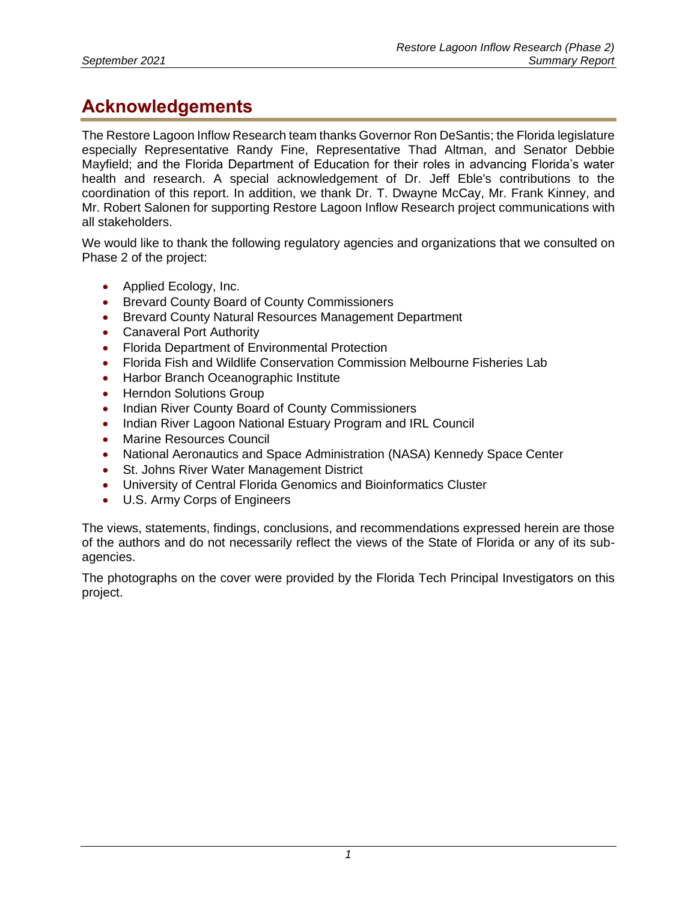## **Acknowledgements**

The Restore Lagoon Inflow Research team thanks Governor Ron DeSantis; the Florida legislature especially Representative Randy Fine, Representative Thad Altman, and Senator Debbie Mayfield; and the Florida Department of Education for their roles in advancing Florida's water health and research. A special acknowledgement of Dr. Jeff Eble's contributions to the coordination of this report. In addition, we thank Dr. T. Dwayne McCay, Mr. Frank Kinney, and Mr. Robert Salonen for supporting Restore Lagoon Inflow Research project communications with all stakeholders.

We would like to thank the following regulatory agencies and organizations that we consulted on Phase 2 of the project:

- Applied Ecology, Inc.
- Brevard County Board of County Commissioners
- Brevard County Natural Resources Management Department
- Canaveral Port Authority
- Florida Department of Environmental Protection
- Florida Fish and Wildlife Conservation Commission Melbourne Fisheries Lab
- Harbor Branch Oceanographic Institute
- Herndon Solutions Group
- Indian River County Board of County Commissioners
- Indian River Lagoon National Estuary Program and IRL Council
- Marine Resources Council
- National Aeronautics and Space Administration (NASA) Kennedy Space Center
- St. Johns River Water Management District
- University of Central Florida Genomics and Bioinformatics Cluster
- U.S. Army Corps of Engineers

The views, statements, findings, conclusions, and recommendations expressed herein are those of the authors and do not necessarily reflect the views of the State of Florida or any of its subagencies.

The photographs on the cover were provided by the Florida Tech Principal Investigators on this project.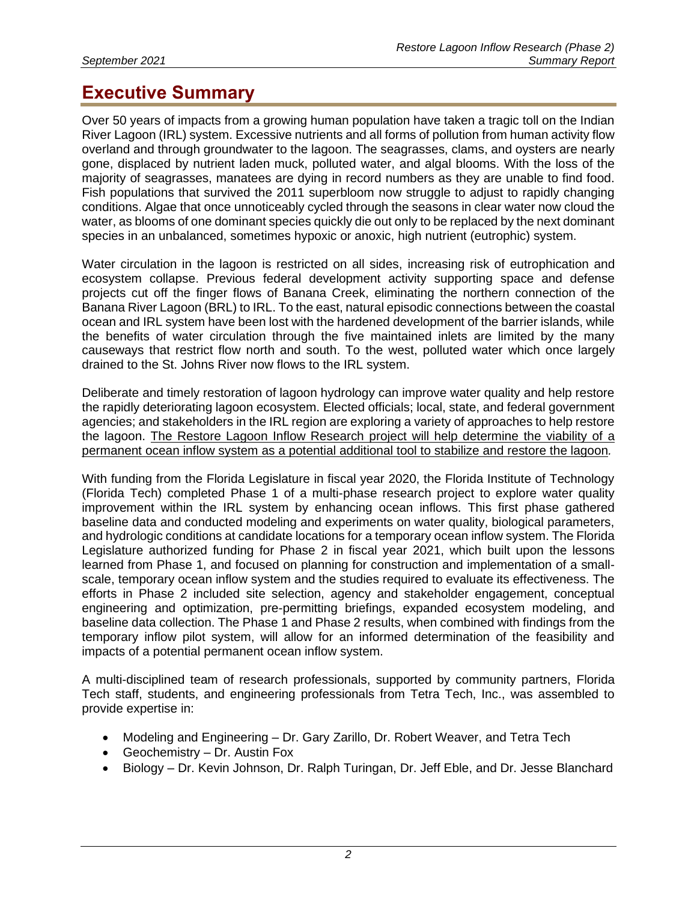## **Executive Summary**

Over 50 years of impacts from a growing human population have taken a tragic toll on the Indian River Lagoon (IRL) system. Excessive nutrients and all forms of pollution from human activity flow overland and through groundwater to the lagoon. The seagrasses, clams, and oysters are nearly gone, displaced by nutrient laden muck, polluted water, and algal blooms. With the loss of the majority of seagrasses, manatees are dying in record numbers as they are unable to find food. Fish populations that survived the 2011 superbloom now struggle to adjust to rapidly changing conditions. Algae that once unnoticeably cycled through the seasons in clear water now cloud the water, as blooms of one dominant species quickly die out only to be replaced by the next dominant species in an unbalanced, sometimes hypoxic or anoxic, high nutrient (eutrophic) system.

Water circulation in the lagoon is restricted on all sides, increasing risk of eutrophication and ecosystem collapse. Previous federal development activity supporting space and defense projects cut off the finger flows of Banana Creek, eliminating the northern connection of the Banana River Lagoon (BRL) to IRL. To the east, natural episodic connections between the coastal ocean and IRL system have been lost with the hardened development of the barrier islands, while the benefits of water circulation through the five maintained inlets are limited by the many causeways that restrict flow north and south. To the west, polluted water which once largely drained to the St. Johns River now flows to the IRL system.

Deliberate and timely restoration of lagoon hydrology can improve water quality and help restore the rapidly deteriorating lagoon ecosystem. Elected officials; local, state, and federal government agencies; and stakeholders in the IRL region are exploring a variety of approaches to help restore the lagoon. The Restore Lagoon Inflow Research project will help determine the viability of a permanent ocean inflow system as a potential additional tool to stabilize and restore the lagoon*.*

With funding from the Florida Legislature in fiscal year 2020, the Florida Institute of Technology (Florida Tech) completed Phase 1 of a multi-phase research project to explore water quality improvement within the IRL system by enhancing ocean inflows. This first phase gathered baseline data and conducted modeling and experiments on water quality, biological parameters, and hydrologic conditions at candidate locations for a temporary ocean inflow system. The Florida Legislature authorized funding for Phase 2 in fiscal year 2021, which built upon the lessons learned from Phase 1, and focused on planning for construction and implementation of a smallscale, temporary ocean inflow system and the studies required to evaluate its effectiveness. The efforts in Phase 2 included site selection, agency and stakeholder engagement, conceptual engineering and optimization, pre-permitting briefings, expanded ecosystem modeling, and baseline data collection. The Phase 1 and Phase 2 results, when combined with findings from the temporary inflow pilot system, will allow for an informed determination of the feasibility and impacts of a potential permanent ocean inflow system.

A multi-disciplined team of research professionals, supported by community partners, Florida Tech staff, students, and engineering professionals from Tetra Tech, Inc., was assembled to provide expertise in:

- Modeling and Engineering Dr. Gary Zarillo, Dr. Robert Weaver, and Tetra Tech
- Geochemistry Dr. Austin Fox
- Biology Dr. Kevin Johnson, Dr. Ralph Turingan, Dr. Jeff Eble, and Dr. Jesse Blanchard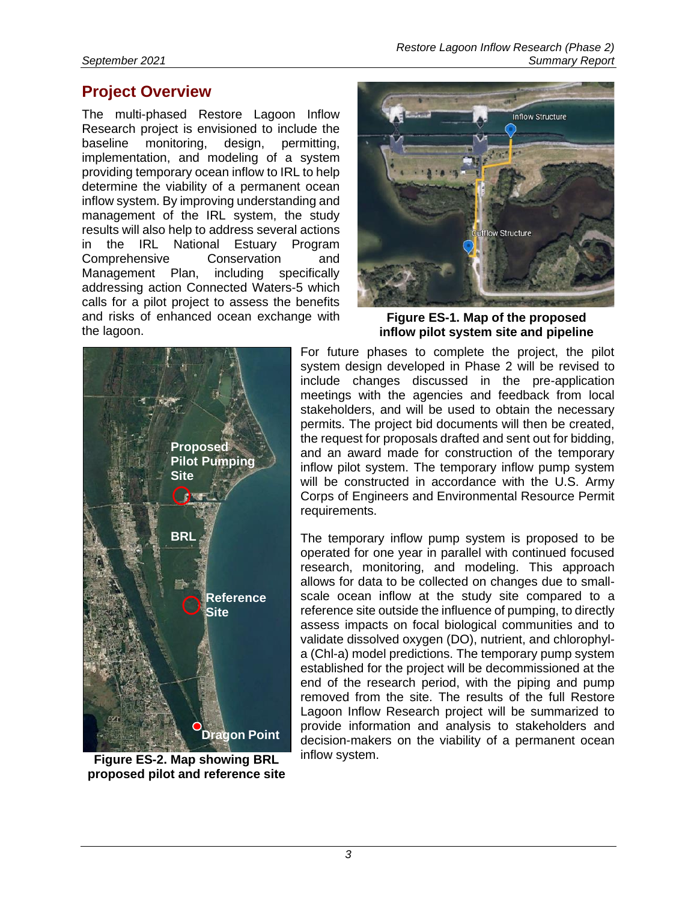## **Project Overview**

The multi-phased Restore Lagoon Inflow Research project is envisioned to include the baseline monitoring, design, permitting, implementation, and modeling of a system providing temporary ocean inflow to IRL to help determine the viability of a permanent ocean inflow system. By improving understanding and management of the IRL system, the study results will also help to address several actions in the IRL National Estuary Program Comprehensive Conservation and Management Plan, including specifically addressing action Connected Waters-5 which calls for a pilot project to assess the benefits and risks of enhanced ocean exchange with the lagoon.



**Figure ES-1. Map of the proposed inflow pilot system site and pipeline** 



**Figure ES-2. Map showing BRL proposed pilot and reference site**

For future phases to complete the project, the pilot system design developed in Phase 2 will be revised to include changes discussed in the pre-application meetings with the agencies and feedback from local stakeholders, and will be used to obtain the necessary permits. The project bid documents will then be created, the request for proposals drafted and sent out for bidding, and an award made for construction of the temporary inflow pilot system. The temporary inflow pump system will be constructed in accordance with the U.S. Army Corps of Engineers and Environmental Resource Permit requirements.

The temporary inflow pump system is proposed to be operated for one year in parallel with continued focused research, monitoring, and modeling. This approach allows for data to be collected on changes due to smallscale ocean inflow at the study site compared to a reference site outside the influence of pumping, to directly assess impacts on focal biological communities and to validate dissolved oxygen (DO), nutrient, and chlorophyla (Chl-a) model predictions. The temporary pump system established for the project will be decommissioned at the end of the research period, with the piping and pump removed from the site. The results of the full Restore Lagoon Inflow Research project will be summarized to provide information and analysis to stakeholders and decision-makers on the viability of a permanent ocean inflow system.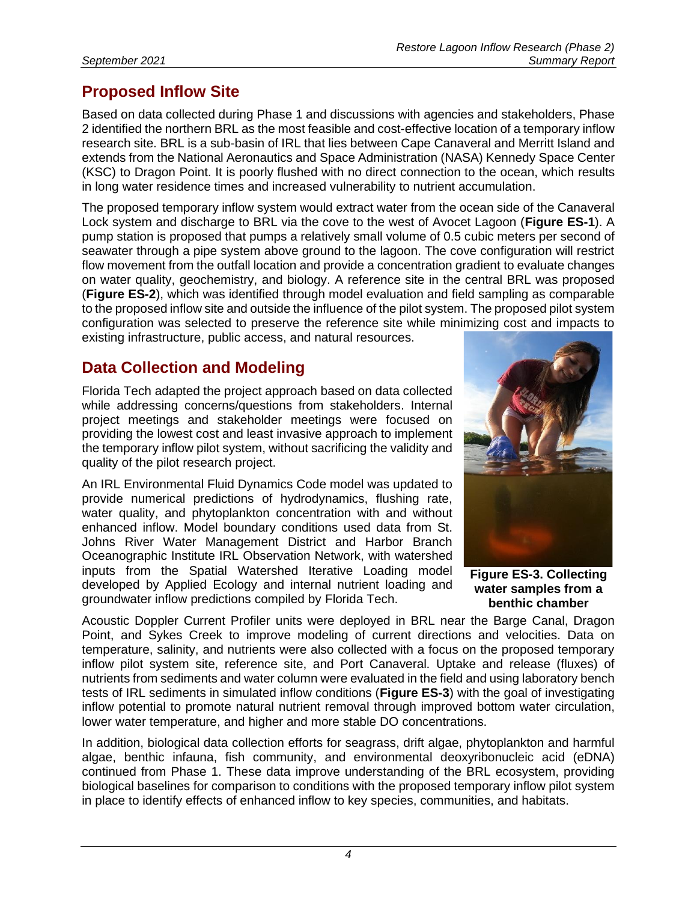## **Proposed Inflow Site**

Based on data collected during Phase 1 and discussions with agencies and stakeholders, Phase 2 identified the northern BRL as the most feasible and cost-effective location of a temporary inflow research site. BRL is a sub-basin of IRL that lies between Cape Canaveral and Merritt Island and extends from the National Aeronautics and Space Administration (NASA) Kennedy Space Center (KSC) to Dragon Point. It is poorly flushed with no direct connection to the ocean, which results in long water residence times and increased vulnerability to nutrient accumulation.

The proposed temporary inflow system would extract water from the ocean side of the Canaveral Lock system and discharge to BRL via the cove to the west of Avocet Lagoon (**Figure ES-1**). A pump station is proposed that pumps a relatively small volume of 0.5 cubic meters per second of seawater through a pipe system above ground to the lagoon. The cove configuration will restrict flow movement from the outfall location and provide a concentration gradient to evaluate changes on water quality, geochemistry, and biology. A reference site in the central BRL was proposed (**Figure ES-2**), which was identified through model evaluation and field sampling as comparable to the proposed inflow site and outside the influence of the pilot system. The proposed pilot system configuration was selected to preserve the reference site while minimizing cost and impacts to existing infrastructure, public access, and natural resources.

## **Data Collection and Modeling**

Florida Tech adapted the project approach based on data collected while addressing concerns/questions from stakeholders. Internal project meetings and stakeholder meetings were focused on providing the lowest cost and least invasive approach to implement the temporary inflow pilot system, without sacrificing the validity and quality of the pilot research project.

An IRL Environmental Fluid Dynamics Code model was updated to provide numerical predictions of hydrodynamics, flushing rate, water quality, and phytoplankton concentration with and without enhanced inflow. Model boundary conditions used data from St. Johns River Water Management District and Harbor Branch Oceanographic Institute IRL Observation Network, with watershed inputs from the Spatial Watershed Iterative Loading model developed by Applied Ecology and internal nutrient loading and groundwater inflow predictions compiled by Florida Tech.



**Figure ES-3. Collecting water samples from a benthic chamber**

Acoustic Doppler Current Profiler units were deployed in BRL near the Barge Canal, Dragon Point, and Sykes Creek to improve modeling of current directions and velocities. Data on temperature, salinity, and nutrients were also collected with a focus on the proposed temporary inflow pilot system site, reference site, and Port Canaveral. Uptake and release (fluxes) of nutrients from sediments and water column were evaluated in the field and using laboratory bench tests of IRL sediments in simulated inflow conditions (**Figure ES-3**) with the goal of investigating inflow potential to promote natural nutrient removal through improved bottom water circulation, lower water temperature, and higher and more stable DO concentrations.

In addition, biological data collection efforts for seagrass, drift algae, phytoplankton and harmful algae, benthic infauna, fish community, and environmental deoxyribonucleic acid (eDNA) continued from Phase 1. These data improve understanding of the BRL ecosystem, providing biological baselines for comparison to conditions with the proposed temporary inflow pilot system in place to identify effects of enhanced inflow to key species, communities, and habitats.